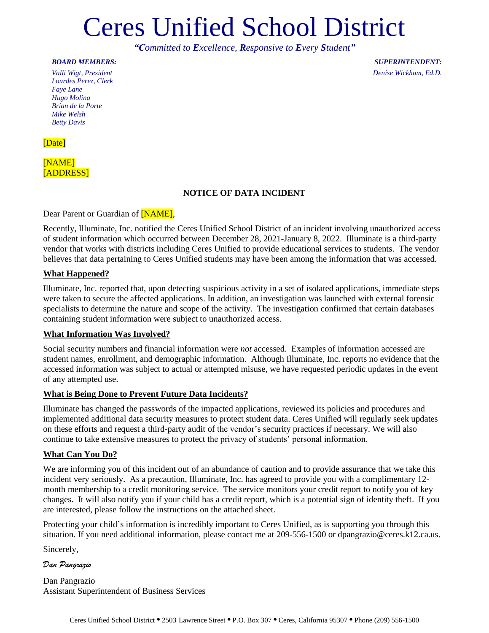# Ceres Unified School District

*"Committed to Excellence, Responsive to Every Student"*

#### *BOARD MEMBERS:*

*Valli Wigt, President Lourdes Perez, Clerk Faye Lane Hugo Molina Brian de la Porte Mike Welsh Betty Davis*

[Date]

# [NAME] [ADDRESS]

# **NOTICE OF DATA INCIDENT**

Dear Parent or Guardian of **[NAME]**,

Recently, Illuminate, Inc. notified the Ceres Unified School District of an incident involving unauthorized access of student information which occurred between December 28, 2021-January 8, 2022. Illuminate is a third-party vendor that works with districts including Ceres Unified to provide educational services to students. The vendor believes that data pertaining to Ceres Unified students may have been among the information that was accessed.

#### **What Happened?**

Illuminate, Inc. reported that, upon detecting suspicious activity in a set of isolated applications, immediate steps were taken to secure the affected applications. In addition, an investigation was launched with external forensic specialists to determine the nature and scope of the activity. The investigation confirmed that certain databases containing student information were subject to unauthorized access.

#### **What Information Was Involved?**

Social security numbers and financial information were *not* accessed. Examples of information accessed are student names, enrollment, and demographic information. Although Illuminate, Inc. reports no evidence that the accessed information was subject to actual or attempted misuse, we have requested periodic updates in the event of any attempted use.

#### **What is Being Done to Prevent Future Data Incidents?**

Illuminate has changed the passwords of the impacted applications, reviewed its policies and procedures and implemented additional data security measures to protect student data. Ceres Unified will regularly seek updates on these efforts and request a third-party audit of the vendor's security practices if necessary. We will also continue to take extensive measures to protect the privacy of students' personal information.

#### **What Can You Do?**

We are informing you of this incident out of an abundance of caution and to provide assurance that we take this incident very seriously. As a precaution, Illuminate, Inc. has agreed to provide you with a complimentary 12 month membership to a credit monitoring service. The service monitors your credit report to notify you of key changes. It will also notify you if your child has a credit report, which is a potential sign of identity theft. If you are interested, please follow the instructions on the attached sheet.

Protecting your child's information is incredibly important to Ceres Unified, as is supporting you through this situation. If you need additional information, please contact me at 209-556-1500 or dpangrazio@ceres.k12.ca.us.

Sincerely,

*Dan Pangrazio*

Dan Pangrazio Assistant Superintendent of Business Services

*SUPERINTENDENT: Denise Wickham, Ed.D.*